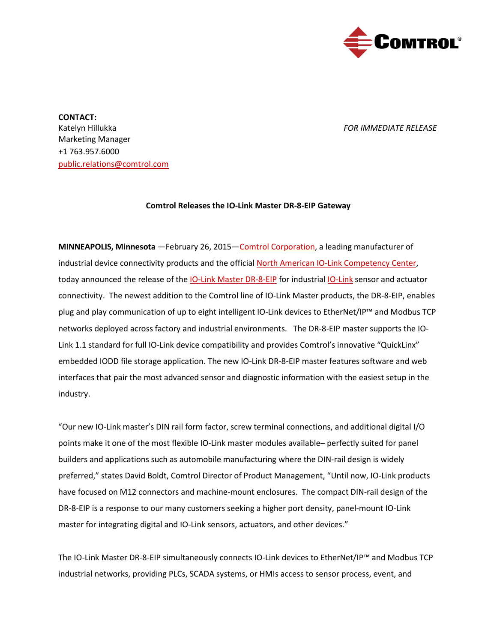

**CONTACT:** Katelyn Hillukka *FOR IMMEDIATE RELEASE* Marketing Manager +1 763.957.6000 [public.relations@comtrol.com](mailto:public.relations@comtrol.com)

## **Comtrol Releases the IO-Link Master DR-8-EIP Gateway**

**MINNEAPOLIS, Minnesota** —February 26, 2015[—Comtrol Corporation,](http://www.comtrol.com/) a leading manufacturer of industrial device connectivity products and the official [North American IO-Link Competency Center,](http://blog.comtrol.com/2014/05/21/comtrol-chosen-for-north-americas-io-link-competency-center/) today announced the release of the [IO-Link Master DR-8-EIP](http://www.comtrol.com/industrial-iolink-gateway/io-link-master-dr-8-eip) for industria[l IO-Link](http://www.comtrol.com/io-link-master-gateways/what-is-io-link) sensor and actuator connectivity. The newest addition to the Comtrol line of IO-Link Master products, the DR-8-EIP, enables plug and play communication of up to eight intelligent IO-Link devices to EtherNet/IP™ and Modbus TCP networks deployed across factory and industrial environments. The DR-8-EIP master supports the IO-Link 1.1 standard for full IO-Link device compatibility and provides Comtrol's innovative "QuickLinx" embedded IODD file storage application. The new IO-Link DR-8-EIP master features software and web interfaces that pair the most advanced sensor and diagnostic information with the easiest setup in the industry.

"Our new IO-Link master's DIN rail form factor, screw terminal connections, and additional digital I/O points make it one of the most flexible IO-Link master modules available– perfectly suited for panel builders and applications such as automobile manufacturing where the DIN-rail design is widely preferred," states David Boldt, Comtrol Director of Product Management, "Until now, IO-Link products have focused on M12 connectors and machine-mount enclosures. The compact DIN-rail design of the DR-8-EIP is a response to our many customers seeking a higher port density, panel-mount IO-Link master for integrating digital and IO-Link sensors, actuators, and other devices."

The IO-Link Master DR-8-EIP simultaneously connects IO-Link devices to EtherNet/IP™ and Modbus TCP industrial networks, providing PLCs, SCADA systems, or HMIs access to sensor process, event, and